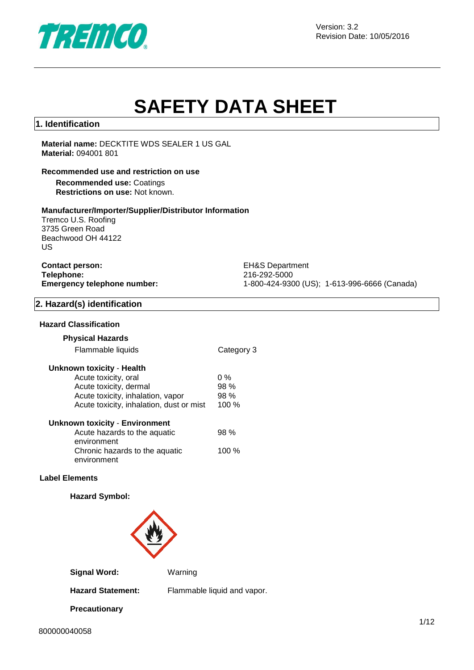

# **SAFETY DATA SHEET**

#### **1. Identification**

#### **Material name:** DECKTITE WDS SEALER 1 US GAL **Material:** 094001 801

#### **Recommended use and restriction on use**

**Recommended use:** Coatings **Restrictions on use:** Not known.

#### **Manufacturer/Importer/Supplier/Distributor Information**

Tremco U.S. Roofing 3735 Green Road Beachwood OH 44122 US

# **Contact person:** EH&S Department **Telephone:** 216-292-5000

**Emergency telephone number:** 1-800-424-9300 (US); 1-613-996-6666 (Canada)

#### **2. Hazard(s) identification**

#### **Hazard Classification**

#### **Physical Hazards**

#### **Unknown toxicity** - **Health**

| Acute toxicity, oral                     | $0\%$ |
|------------------------------------------|-------|
| Acute toxicity, dermal                   | 98 %  |
| Acute toxicity, inhalation, vapor        | 98%   |
| Acute toxicity, inhalation, dust or mist | 100 % |
| <b>Unknown toxicity - Environment</b>    |       |
| Acute hazards to the aquatic             | 98%   |
| environment                              |       |
| Chronic hazards to the aquatic           | 100 % |

# **Label Elements**

## **Hazard Symbol:**

environment



**Signal Word:** Warning

**Precautionary** 

**Hazard Statement:** Flammable liquid and vapor.

800000040058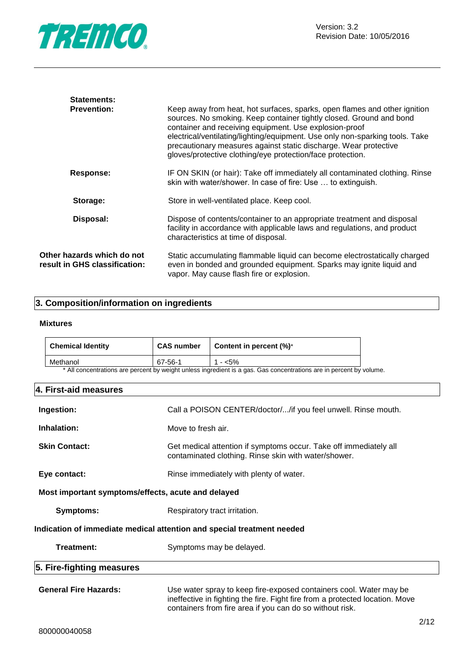

| <b>Statements:</b>                                          |                                                                                                                                                                                                                                                                                                                                                                                                                              |
|-------------------------------------------------------------|------------------------------------------------------------------------------------------------------------------------------------------------------------------------------------------------------------------------------------------------------------------------------------------------------------------------------------------------------------------------------------------------------------------------------|
| <b>Prevention:</b>                                          | Keep away from heat, hot surfaces, sparks, open flames and other ignition<br>sources. No smoking. Keep container tightly closed. Ground and bond<br>container and receiving equipment. Use explosion-proof<br>electrical/ventilating/lighting/equipment. Use only non-sparking tools. Take<br>precautionary measures against static discharge. Wear protective<br>gloves/protective clothing/eye protection/face protection. |
| Response:                                                   | IF ON SKIN (or hair): Take off immediately all contaminated clothing. Rinse<br>skin with water/shower. In case of fire: Use  to extinguish.                                                                                                                                                                                                                                                                                  |
| Storage:                                                    | Store in well-ventilated place. Keep cool.                                                                                                                                                                                                                                                                                                                                                                                   |
| Disposal:                                                   | Dispose of contents/container to an appropriate treatment and disposal<br>facility in accordance with applicable laws and regulations, and product<br>characteristics at time of disposal.                                                                                                                                                                                                                                   |
| Other hazards which do not<br>result in GHS classification: | Static accumulating flammable liquid can become electrostatically charged<br>even in bonded and grounded equipment. Sparks may ignite liquid and<br>vapor. May cause flash fire or explosion.                                                                                                                                                                                                                                |

#### **3. Composition/information on ingredients**

#### **Mixtures**

| <b>Chemical Identity</b> | <b>CAS number</b> | <b>Content in percent <math>(\%)^*</math></b>                                                                                          |
|--------------------------|-------------------|----------------------------------------------------------------------------------------------------------------------------------------|
| Methanol                 | 67-56-1           | $1 - 5\%$                                                                                                                              |
|                          |                   | $\ast$ All concernents are accessed to contain output to an illegate or and $\bigwedge$ or accessed to a contain the second to contain |

All concentrations are percent by weight unless ingredient is a gas. Gas concentrations are in percent by volume.

#### **4. First-aid measures**

| Ingestion:                                                             | Call a POISON CENTER/doctor//if you feel unwell. Rinse mouth.                                                                                      |  |
|------------------------------------------------------------------------|----------------------------------------------------------------------------------------------------------------------------------------------------|--|
| Inhalation:                                                            | Move to fresh air.                                                                                                                                 |  |
| <b>Skin Contact:</b>                                                   | Get medical attention if symptoms occur. Take off immediately all<br>contaminated clothing. Rinse skin with water/shower.                          |  |
| Eye contact:                                                           | Rinse immediately with plenty of water.                                                                                                            |  |
| Most important symptoms/effects, acute and delayed                     |                                                                                                                                                    |  |
| Symptoms:                                                              | Respiratory tract irritation.                                                                                                                      |  |
| Indication of immediate medical attention and special treatment needed |                                                                                                                                                    |  |
| Treatment:                                                             | Symptoms may be delayed.                                                                                                                           |  |
| 5. Fire-fighting measures                                              |                                                                                                                                                    |  |
| <b>General Fire Hazards:</b>                                           | Use water spray to keep fire-exposed containers cool. Water may be<br>ineffective in fighting the fire. Fight fire from a protected location. Move |  |

containers from fire area if you can do so without risk.

 $\overline{a}$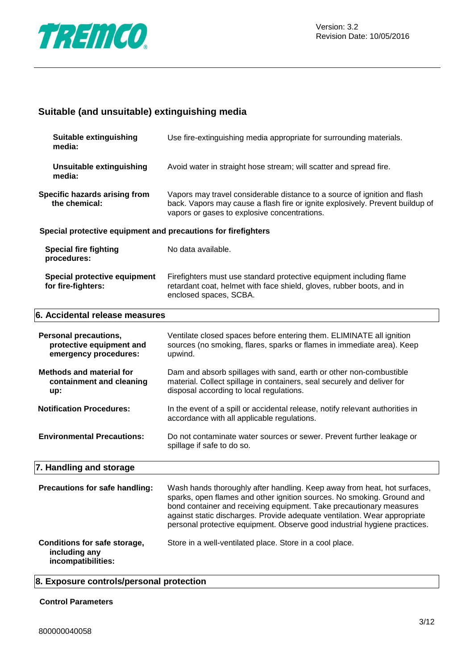

# **Suitable (and unsuitable) extinguishing media**

| <b>Suitable extinguishing</b><br>media:                                           | Use fire-extinguishing media appropriate for surrounding materials.                                                                                                                                                                                                                                                                                                                 |
|-----------------------------------------------------------------------------------|-------------------------------------------------------------------------------------------------------------------------------------------------------------------------------------------------------------------------------------------------------------------------------------------------------------------------------------------------------------------------------------|
| <b>Unsuitable extinguishing</b><br>media:                                         | Avoid water in straight hose stream; will scatter and spread fire.                                                                                                                                                                                                                                                                                                                  |
| Specific hazards arising from<br>the chemical:                                    | Vapors may travel considerable distance to a source of ignition and flash<br>back. Vapors may cause a flash fire or ignite explosively. Prevent buildup of<br>vapors or gases to explosive concentrations.                                                                                                                                                                          |
| Special protective equipment and precautions for firefighters                     |                                                                                                                                                                                                                                                                                                                                                                                     |
| <b>Special fire fighting</b><br>procedures:                                       | No data available.                                                                                                                                                                                                                                                                                                                                                                  |
| Special protective equipment<br>for fire-fighters:                                | Firefighters must use standard protective equipment including flame<br>retardant coat, helmet with face shield, gloves, rubber boots, and in<br>enclosed spaces, SCBA.                                                                                                                                                                                                              |
| 6. Accidental release measures                                                    |                                                                                                                                                                                                                                                                                                                                                                                     |
| <b>Personal precautions,</b><br>protective equipment and<br>emergency procedures: | Ventilate closed spaces before entering them. ELIMINATE all ignition<br>sources (no smoking, flares, sparks or flames in immediate area). Keep<br>upwind.                                                                                                                                                                                                                           |
| <b>Methods and material for</b><br>containment and cleaning<br>up:                | Dam and absorb spillages with sand, earth or other non-combustible<br>material. Collect spillage in containers, seal securely and deliver for<br>disposal according to local regulations.                                                                                                                                                                                           |
| <b>Notification Procedures:</b>                                                   | In the event of a spill or accidental release, notify relevant authorities in<br>accordance with all applicable regulations.                                                                                                                                                                                                                                                        |
| <b>Environmental Precautions:</b>                                                 | Do not contaminate water sources or sewer. Prevent further leakage or<br>spillage if safe to do so.                                                                                                                                                                                                                                                                                 |
| 7. Handling and storage                                                           |                                                                                                                                                                                                                                                                                                                                                                                     |
| Precautions for safe handling:                                                    | Wash hands thoroughly after handling. Keep away from heat, hot surfaces,<br>sparks, open flames and other ignition sources. No smoking. Ground and<br>bond container and receiving equipment. Take precautionary measures<br>against static discharges. Provide adequate ventilation. Wear appropriate<br>personal protective equipment. Observe good industrial hygiene practices. |
| Conditions for safe storage,<br>including any<br>incompatibilities:               | Store in a well-ventilated place. Store in a cool place.                                                                                                                                                                                                                                                                                                                            |

# **8. Exposure controls/personal protection**

#### **Control Parameters**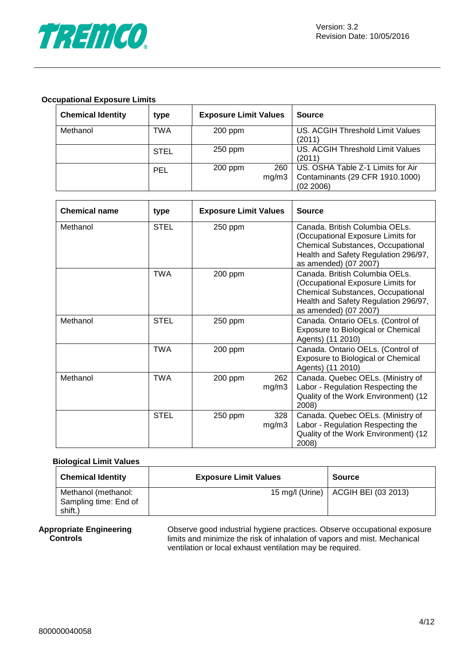

#### **Occupational Exposure Limits**

| <b>Chemical Identity</b> | type        | <b>Exposure Limit Values</b> | <b>Source</b>                                                                     |
|--------------------------|-------------|------------------------------|-----------------------------------------------------------------------------------|
| Methanol                 | TWA         | 200 ppm                      | US. ACGIH Threshold Limit Values<br>(2011)                                        |
|                          | <b>STEL</b> | $250$ ppm                    | US. ACGIH Threshold Limit Values<br>(2011)                                        |
|                          | <b>PEL</b>  | 260<br>200 ppm<br>mg/m3      | US. OSHA Table Z-1 Limits for Air<br>Contaminants (29 CFR 1910.1000)<br>(02 2006) |

| <b>Chemical name</b> | type        | <b>Exposure Limit Values</b> |              | <b>Source</b>                                                                                                                                                             |
|----------------------|-------------|------------------------------|--------------|---------------------------------------------------------------------------------------------------------------------------------------------------------------------------|
| Methanol             | <b>STEL</b> | 250 ppm                      |              | Canada, British Columbia OELs.<br>(Occupational Exposure Limits for<br>Chemical Substances, Occupational<br>Health and Safety Regulation 296/97,<br>as amended) (07 2007) |
|                      | <b>TWA</b>  | 200 ppm                      |              | Canada. British Columbia OELs.<br>(Occupational Exposure Limits for<br>Chemical Substances, Occupational<br>Health and Safety Regulation 296/97,<br>as amended) (07 2007) |
| Methanol             | <b>STEL</b> | 250 ppm                      |              | Canada. Ontario OELs. (Control of<br>Exposure to Biological or Chemical<br>Agents) (11 2010)                                                                              |
|                      | <b>TWA</b>  | 200 ppm                      |              | Canada. Ontario OELs. (Control of<br>Exposure to Biological or Chemical<br>Agents) (11 2010)                                                                              |
| Methanol             | <b>TWA</b>  | 200 ppm                      | 262<br>mg/m3 | Canada. Quebec OELs. (Ministry of<br>Labor - Regulation Respecting the<br>Quality of the Work Environment) (12<br>2008)                                                   |
|                      | <b>STEL</b> | 250 ppm                      | 328<br>mg/m3 | Canada. Quebec OELs. (Ministry of<br>Labor - Regulation Respecting the<br>Quality of the Work Environment) (12<br>2008)                                                   |

#### **Biological Limit Values**

| <b>Chemical Identity</b> | <b>Exposure Limit Values</b> | <b>Source</b>                         |
|--------------------------|------------------------------|---------------------------------------|
| Methanol (methanol:      |                              | 15 mg/l (Urine)   ACGIH BEI (03 2013) |
| Sampling time: End of    |                              |                                       |
| shift.)                  |                              |                                       |

#### **Appropriate Engineering Controls**

Observe good industrial hygiene practices. Observe occupational exposure limits and minimize the risk of inhalation of vapors and mist. Mechanical ventilation or local exhaust ventilation may be required.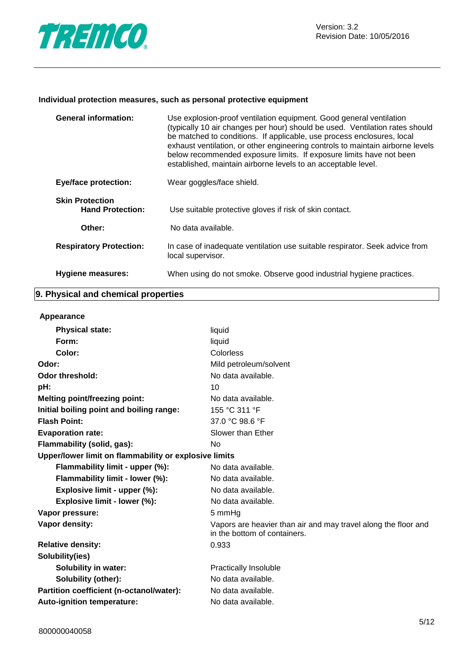

#### **Individual protection measures, such as personal protective equipment**

| <b>General information:</b>                       | Use explosion-proof ventilation equipment. Good general ventilation<br>(typically 10 air changes per hour) should be used. Ventilation rates should<br>be matched to conditions. If applicable, use process enclosures, local<br>exhaust ventilation, or other engineering controls to maintain airborne levels<br>below recommended exposure limits. If exposure limits have not been<br>established, maintain airborne levels to an acceptable level. |
|---------------------------------------------------|---------------------------------------------------------------------------------------------------------------------------------------------------------------------------------------------------------------------------------------------------------------------------------------------------------------------------------------------------------------------------------------------------------------------------------------------------------|
| <b>Eye/face protection:</b>                       | Wear goggles/face shield.                                                                                                                                                                                                                                                                                                                                                                                                                               |
| <b>Skin Protection</b><br><b>Hand Protection:</b> | Use suitable protective gloves if risk of skin contact.                                                                                                                                                                                                                                                                                                                                                                                                 |
| Other:                                            | No data available.                                                                                                                                                                                                                                                                                                                                                                                                                                      |
| <b>Respiratory Protection:</b>                    | In case of inadequate ventilation use suitable respirator. Seek advice from<br>local supervisor.                                                                                                                                                                                                                                                                                                                                                        |
| <b>Hygiene measures:</b>                          | When using do not smoke. Observe good industrial hygiene practices.                                                                                                                                                                                                                                                                                                                                                                                     |

# **9. Physical and chemical properties**

#### **Appearance**

| <b>Physical state:</b>                                | liquid                                                                                         |
|-------------------------------------------------------|------------------------------------------------------------------------------------------------|
| Form:                                                 | liquid                                                                                         |
| Color:                                                | Colorless                                                                                      |
| Odor:                                                 | Mild petroleum/solvent                                                                         |
| <b>Odor threshold:</b>                                | No data available.                                                                             |
| pH:                                                   | 10                                                                                             |
| <b>Melting point/freezing point:</b>                  | No data available.                                                                             |
| Initial boiling point and boiling range:              | 155 °C 311 °F                                                                                  |
| <b>Flash Point:</b>                                   | 37.0 °C 98.6 °F                                                                                |
| <b>Evaporation rate:</b>                              | Slower than Ether                                                                              |
| Flammability (solid, gas):                            | No.                                                                                            |
| Upper/lower limit on flammability or explosive limits |                                                                                                |
| Flammability limit - upper (%):                       | No data available.                                                                             |
| Flammability limit - lower (%):                       | No data available.                                                                             |
| Explosive limit - upper (%):                          | No data available.                                                                             |
| Explosive limit - lower (%):                          | No data available.                                                                             |
| Vapor pressure:                                       | 5 mmHg                                                                                         |
| Vapor density:                                        | Vapors are heavier than air and may travel along the floor and<br>in the bottom of containers. |
| <b>Relative density:</b>                              | 0.933                                                                                          |
| Solubility(ies)                                       |                                                                                                |
| <b>Solubility in water:</b>                           | <b>Practically Insoluble</b>                                                                   |
| Solubility (other):                                   | No data available.                                                                             |
| Partition coefficient (n-octanol/water):              | No data available.                                                                             |
| <b>Auto-ignition temperature:</b>                     | No data available.                                                                             |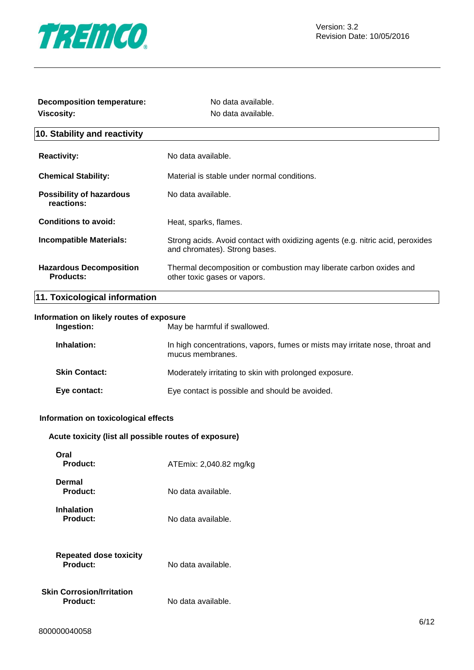

| <b>Decomposition temperature:</b><br><b>Viscosity:</b> | No data available.<br>No data available.                                                                        |  |
|--------------------------------------------------------|-----------------------------------------------------------------------------------------------------------------|--|
| 10. Stability and reactivity                           |                                                                                                                 |  |
| <b>Reactivity:</b>                                     | No data available.                                                                                              |  |
| <b>Chemical Stability:</b>                             | Material is stable under normal conditions.                                                                     |  |
| <b>Possibility of hazardous</b><br>reactions:          | No data available.                                                                                              |  |
| <b>Conditions to avoid:</b>                            | Heat, sparks, flames.                                                                                           |  |
| <b>Incompatible Materials:</b>                         | Strong acids. Avoid contact with oxidizing agents (e.g. nitric acid, peroxides<br>and chromates). Strong bases. |  |
| <b>Hazardous Decomposition</b><br><b>Products:</b>     | Thermal decomposition or combustion may liberate carbon oxides and<br>other toxic gases or vapors.              |  |
| 11. Toxicological information                          |                                                                                                                 |  |
| Information on likely routes of exposure<br>Ingestion: | May be harmful if swallowed.                                                                                    |  |
| Inhalation:                                            | In high concentrations, vapors, fumes or mists may irritate nose, throat and<br>mucus membranes.                |  |
| <b>Skin Contact:</b>                                   | Moderately irritating to skin with prolonged exposure.                                                          |  |
| Eye contact:                                           | Eye contact is possible and should be avoided.                                                                  |  |
| Information on toxicological effects                   |                                                                                                                 |  |
| Acute toxicity (list all possible routes of exposure)  |                                                                                                                 |  |

| Oral<br>Product:                             | ATEmix: 2,040.82 mg/kg |
|----------------------------------------------|------------------------|
| Dermal<br>Product:                           | No data available.     |
| <b>Inhalation</b><br>Product:                | No data available.     |
| <b>Repeated dose toxicity</b><br>Product:    | No data available.     |
| <b>Skin Corrosion/Irritation</b><br>Product: | No data available.     |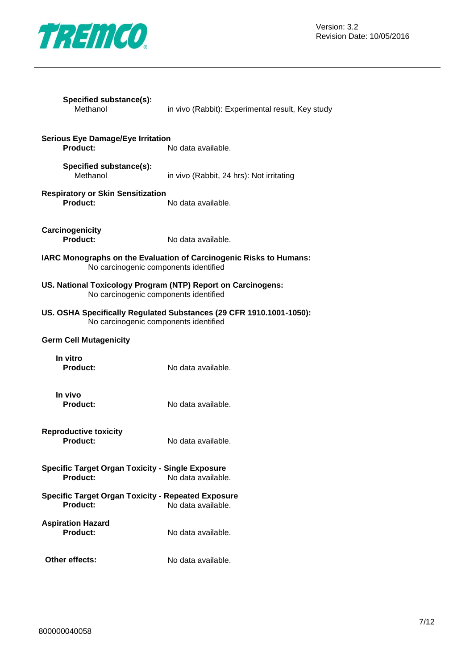

| Specified substance(s):<br>Methanol                                                                          | in vivo (Rabbit): Experimental result, Key study |
|--------------------------------------------------------------------------------------------------------------|--------------------------------------------------|
| <b>Serious Eye Damage/Eye Irritation</b><br>Product:                                                         | No data available.                               |
| Specified substance(s):<br>Methanol                                                                          | in vivo (Rabbit, 24 hrs): Not irritating         |
| <b>Respiratory or Skin Sensitization</b><br>Product:                                                         | No data available.                               |
| Carcinogenicity<br>Product:                                                                                  | No data available.                               |
| IARC Monographs on the Evaluation of Carcinogenic Risks to Humans:<br>No carcinogenic components identified  |                                                  |
| US. National Toxicology Program (NTP) Report on Carcinogens:<br>No carcinogenic components identified        |                                                  |
| US. OSHA Specifically Regulated Substances (29 CFR 1910.1001-1050):<br>No carcinogenic components identified |                                                  |
| <b>Germ Cell Mutagenicity</b>                                                                                |                                                  |
| In vitro<br><b>Product:</b>                                                                                  | No data available.                               |
| In vivo<br><b>Product:</b>                                                                                   | No data available.                               |
| <b>Reproductive toxicity</b><br><b>Product:</b>                                                              | No data available.                               |
| <b>Specific Target Organ Toxicity - Single Exposure</b><br>Product:<br>No data available.                    |                                                  |
| <b>Specific Target Organ Toxicity - Repeated Exposure</b><br>Product:                                        | No data available.                               |
| <b>Aspiration Hazard</b><br><b>Product:</b>                                                                  | No data available.                               |
| Other effects:                                                                                               | No data available.                               |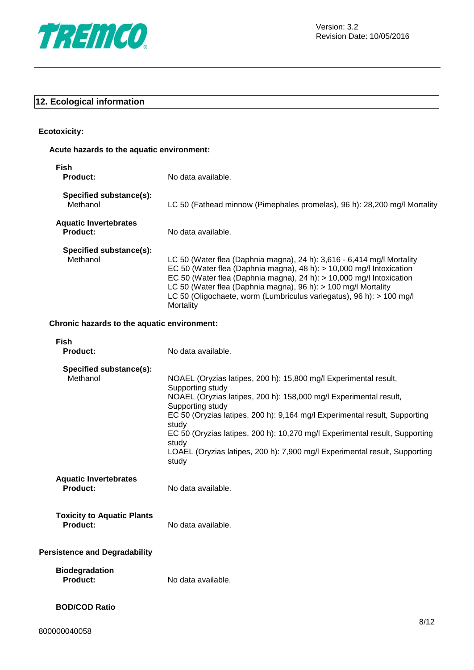

# **12. Ecological information**

## **Ecotoxicity:**

## **Acute hazards to the aquatic environment:**

| Fish<br><b>Product:</b>                              | No data available.                                                                                                                                                                                                                                                                                                                                                                                                                                  |
|------------------------------------------------------|-----------------------------------------------------------------------------------------------------------------------------------------------------------------------------------------------------------------------------------------------------------------------------------------------------------------------------------------------------------------------------------------------------------------------------------------------------|
| Specified substance(s):<br>Methanol                  | LC 50 (Fathead minnow (Pimephales promelas), 96 h): 28,200 mg/l Mortality                                                                                                                                                                                                                                                                                                                                                                           |
| <b>Aquatic Invertebrates</b><br>Product:             | No data available.                                                                                                                                                                                                                                                                                                                                                                                                                                  |
| Specified substance(s):<br>Methanol                  | LC 50 (Water flea (Daphnia magna), 24 h): 3,616 - 6,414 mg/l Mortality<br>EC 50 (Water flea (Daphnia magna), 48 h): > 10,000 mg/l Intoxication<br>EC 50 (Water flea (Daphnia magna), 24 h): > 10,000 mg/l Intoxication<br>LC 50 (Water flea (Daphnia magna), 96 h): > 100 mg/l Mortality<br>LC 50 (Oligochaete, worm (Lumbriculus variegatus), 96 h): > 100 mg/l<br>Mortality                                                                       |
| Chronic hazards to the aquatic environment:          |                                                                                                                                                                                                                                                                                                                                                                                                                                                     |
| <b>Fish</b><br><b>Product:</b>                       | No data available.                                                                                                                                                                                                                                                                                                                                                                                                                                  |
| Specified substance(s):<br>Methanol                  | NOAEL (Oryzias latipes, 200 h): 15,800 mg/l Experimental result,<br>Supporting study<br>NOAEL (Oryzias latipes, 200 h): 158,000 mg/l Experimental result,<br>Supporting study<br>EC 50 (Oryzias latipes, 200 h): 9,164 mg/l Experimental result, Supporting<br>study<br>EC 50 (Oryzias latipes, 200 h): 10,270 mg/l Experimental result, Supporting<br>study<br>LOAEL (Oryzias latipes, 200 h): 7,900 mg/l Experimental result, Supporting<br>study |
| <b>Aquatic Invertebrates</b><br>Product:             | No data available.                                                                                                                                                                                                                                                                                                                                                                                                                                  |
| <b>Toxicity to Aquatic Plants</b><br><b>Product:</b> | No data available.                                                                                                                                                                                                                                                                                                                                                                                                                                  |
| <b>Persistence and Degradability</b>                 |                                                                                                                                                                                                                                                                                                                                                                                                                                                     |
| <b>Biodegradation</b><br><b>Product:</b>             | No data available.                                                                                                                                                                                                                                                                                                                                                                                                                                  |
| <b>BOD/COD Ratio</b>                                 |                                                                                                                                                                                                                                                                                                                                                                                                                                                     |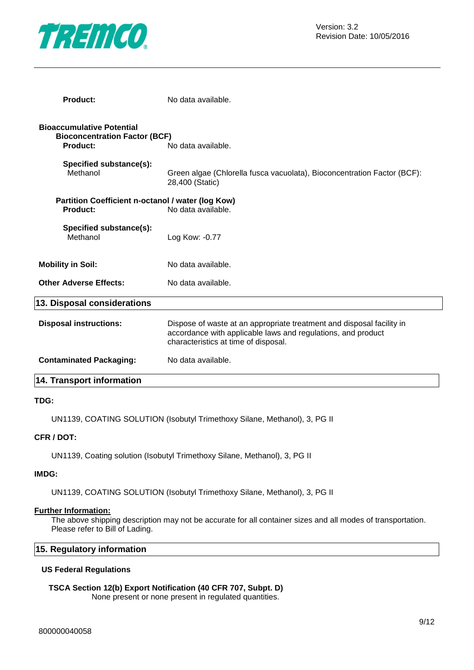

| <b>Product:</b>                                                                             | No data available.                                                                                                                                                            |
|---------------------------------------------------------------------------------------------|-------------------------------------------------------------------------------------------------------------------------------------------------------------------------------|
| <b>Bioaccumulative Potential</b><br><b>Bioconcentration Factor (BCF)</b><br><b>Product:</b> | No data available.                                                                                                                                                            |
| Specified substance(s):<br>Methanol                                                         | Green algae (Chlorella fusca vacuolata), Bioconcentration Factor (BCF):<br>28,400 (Static)                                                                                    |
| Partition Coefficient n-octanol / water (log Kow)<br>Product:                               | No data available.                                                                                                                                                            |
| Specified substance(s):<br>Methanol                                                         | Log Kow: -0.77                                                                                                                                                                |
| <b>Mobility in Soil:</b>                                                                    | No data available.                                                                                                                                                            |
| <b>Other Adverse Effects:</b>                                                               | No data available.                                                                                                                                                            |
| 13. Disposal considerations                                                                 |                                                                                                                                                                               |
| <b>Disposal instructions:</b>                                                               | Dispose of waste at an appropriate treatment and disposal facility in<br>accordance with applicable laws and regulations, and product<br>characteristics at time of disposal. |
| <b>Contaminated Packaging:</b>                                                              | No data available.                                                                                                                                                            |
| 14. Transport information                                                                   |                                                                                                                                                                               |

#### **TDG:**

UN1139, COATING SOLUTION (Isobutyl Trimethoxy Silane, Methanol), 3, PG II

#### **CFR / DOT:**

UN1139, Coating solution (Isobutyl Trimethoxy Silane, Methanol), 3, PG II

#### **IMDG:**

UN1139, COATING SOLUTION (Isobutyl Trimethoxy Silane, Methanol), 3, PG II

#### **Further Information:**

The above shipping description may not be accurate for all container sizes and all modes of transportation. Please refer to Bill of Lading.

#### **15. Regulatory information**

#### **US Federal Regulations**

**TSCA Section 12(b) Export Notification (40 CFR 707, Subpt. D)** None present or none present in regulated quantities.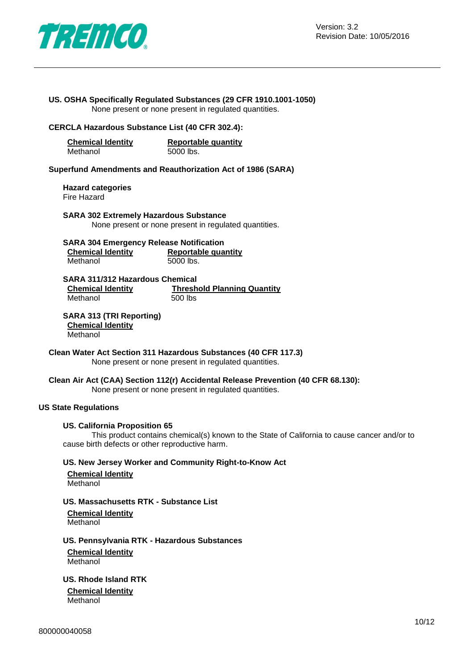

#### **US. OSHA Specifically Regulated Substances (29 CFR 1910.1001-1050)** None present or none present in regulated quantities.

#### **CERCLA Hazardous Substance List (40 CFR 302.4):**

| <b>Chemical Identity</b> | Reportable quantity |
|--------------------------|---------------------|
| Methanol                 | 5000 lbs.           |

**Superfund Amendments and Reauthorization Act of 1986 (SARA)**

**Hazard categories** Fire Hazard

**SARA 302 Extremely Hazardous Substance** None present or none present in regulated quantities.

| <b>SARA 304 Emergency Release Notification</b> |                            |
|------------------------------------------------|----------------------------|
| <b>Chemical Identity</b>                       | <b>Reportable quantity</b> |
| Methanol                                       | 5000 lbs.                  |

**SARA 311/312 Hazardous Chemical Chemical Identity Threshold Planning Quantity** Methanol 500 lbs

#### **SARA 313 (TRI Reporting) Chemical Identity** Methanol

**Clean Water Act Section 311 Hazardous Substances (40 CFR 117.3)** None present or none present in regulated quantities.

**Clean Air Act (CAA) Section 112(r) Accidental Release Prevention (40 CFR 68.130):** None present or none present in regulated quantities.

#### **US State Regulations**

#### **US. California Proposition 65**

This product contains chemical(s) known to the State of California to cause cancer and/or to cause birth defects or other reproductive harm.

#### **US. New Jersey Worker and Community Right-to-Know Act**

**Chemical Identity Methanol** 

### **US. Massachusetts RTK - Substance List**

**Chemical Identity** Methanol

#### **US. Pennsylvania RTK - Hazardous Substances**

**Chemical Identity** Methanol

**US. Rhode Island RTK**

**Chemical Identity** Methanol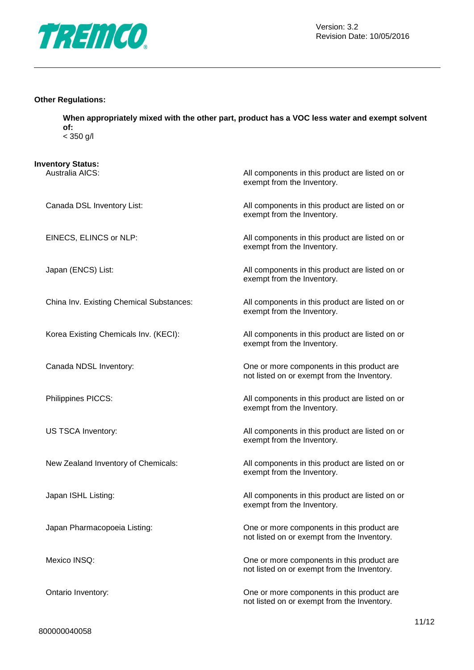

#### **Other Regulations:**

**When appropriately mixed with the other part, product has a VOC less water and exempt solvent of:** < 350 g/l

| <b>Inventory Status:</b><br>Australia AICS: | All components in this product are listed on or                                           |
|---------------------------------------------|-------------------------------------------------------------------------------------------|
|                                             | exempt from the Inventory.                                                                |
| Canada DSL Inventory List:                  | All components in this product are listed on or<br>exempt from the Inventory.             |
| EINECS, ELINCS or NLP:                      | All components in this product are listed on or<br>exempt from the Inventory.             |
| Japan (ENCS) List:                          | All components in this product are listed on or<br>exempt from the Inventory.             |
| China Inv. Existing Chemical Substances:    | All components in this product are listed on or<br>exempt from the Inventory.             |
| Korea Existing Chemicals Inv. (KECI):       | All components in this product are listed on or<br>exempt from the Inventory.             |
| Canada NDSL Inventory:                      | One or more components in this product are<br>not listed on or exempt from the Inventory. |
| Philippines PICCS:                          | All components in this product are listed on or<br>exempt from the Inventory.             |
| US TSCA Inventory:                          | All components in this product are listed on or<br>exempt from the Inventory.             |
| New Zealand Inventory of Chemicals:         | All components in this product are listed on or<br>exempt from the Inventory.             |
| Japan ISHL Listing:                         | All components in this product are listed on or<br>exempt from the Inventory.             |
| Japan Pharmacopoeia Listing:                | One or more components in this product are<br>not listed on or exempt from the Inventory. |
| Mexico INSQ:                                | One or more components in this product are<br>not listed on or exempt from the Inventory. |
| Ontario Inventory:                          | One or more components in this product are<br>not listed on or exempt from the Inventory. |